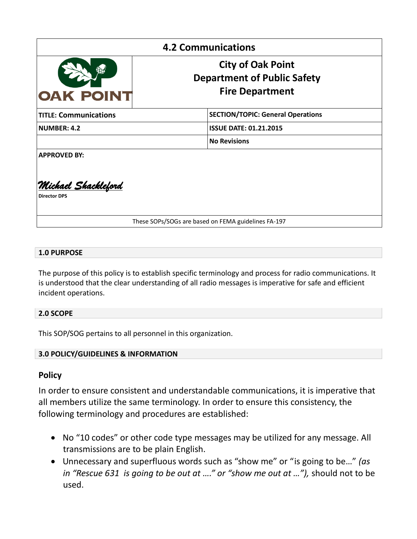| <b>4.2 Communications</b>                          |                                                                                          |
|----------------------------------------------------|------------------------------------------------------------------------------------------|
| <b>OAK POINT</b>                                   | <b>City of Oak Point</b><br><b>Department of Public Safety</b><br><b>Fire Department</b> |
| <b>TITLE: Communications</b>                       | <b>SECTION/TOPIC: General Operations</b>                                                 |
| <b>NUMBER: 4.2</b>                                 | <b>ISSUE DATE: 01.21.2015</b>                                                            |
|                                                    | <b>No Revisions</b>                                                                      |
| <b>APPROVED BY:</b>                                |                                                                                          |
| <u> Michael Shackleford</u><br><b>Director DPS</b> |                                                                                          |
|                                                    | These SOPs/SOGs are based on FEMA guidelines FA-197                                      |

### **1.0 PURPOSE**

The purpose of this policy is to establish specific terminology and process for radio communications. It is understood that the clear understanding of all radio messages is imperative for safe and efficient incident operations.

### **2.0 SCOPE**

This SOP/SOG pertains to all personnel in this organization.

### **3.0 POLICY/GUIDELINES & INFORMATION**

# **Policy**

In order to ensure consistent and understandable communications, it is imperative that all members utilize the same terminology. In order to ensure this consistency, the following terminology and procedures are established:

- No "10 codes" or other code type messages may be utilized for any message. All transmissions are to be plain English.
- Unnecessary and superfluous words such as "show me" or "is going to be…" *(as in "Rescue 631 is going to be out at …." or "show me out at …"),* should not to be used.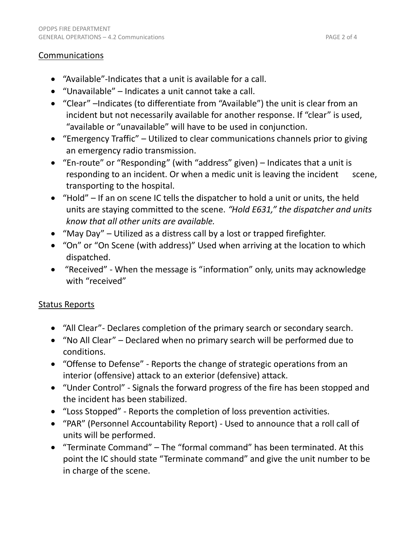### **Communications**

- "Available"-Indicates that a unit is available for a call.
- "Unavailable" Indicates a unit cannot take a call.
- "Clear" –Indicates (to differentiate from "Available") the unit is clear from an incident but not necessarily available for another response. If "clear" is used, "available or "unavailable" will have to be used in conjunction.
- "Emergency Traffic" Utilized to clear communications channels prior to giving an emergency radio transmission.
- "En-route" or "Responding" (with "address" given) Indicates that a unit is responding to an incident. Or when a medic unit is leaving the incident scene, transporting to the hospital.
- "Hold" If an on scene IC tells the dispatcher to hold a unit or units, the held units are staying committed to the scene. *"Hold E631," the dispatcher and units know that all other units are available.*
- "May Day" Utilized as a distress call by a lost or trapped firefighter.
- "On" or "On Scene (with address)" Used when arriving at the location to which dispatched.
- "Received" When the message is "information" only, units may acknowledge with "received"

# Status Reports

- "All Clear"- Declares completion of the primary search or secondary search.
- "No All Clear" Declared when no primary search will be performed due to conditions.
- "Offense to Defense" Reports the change of strategic operations from an interior (offensive) attack to an exterior (defensive) attack.
- "Under Control" Signals the forward progress of the fire has been stopped and the incident has been stabilized.
- "Loss Stopped" Reports the completion of loss prevention activities.
- "PAR" (Personnel Accountability Report) Used to announce that a roll call of units will be performed.
- "Terminate Command" The "formal command" has been terminated. At this point the IC should state "Terminate command" and give the unit number to be in charge of the scene.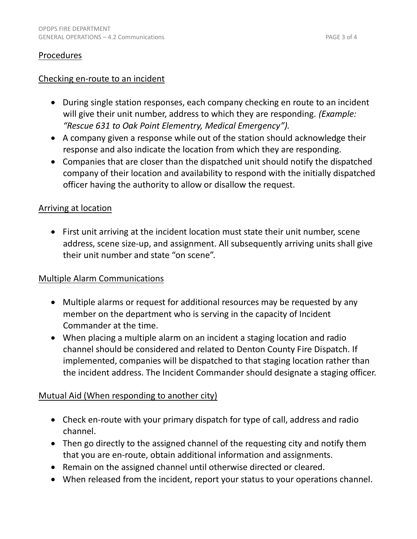### Procedures

### Checking en-route to an incident

- During single station responses, each company checking en route to an incident will give their unit number, address to which they are responding. *(Example: "Rescue 631 to Oak Point Elementry, Medical Emergency").*
- A company given a response while out of the station should acknowledge their response and also indicate the location from which they are responding.
- Companies that are closer than the dispatched unit should notify the dispatched company of their location and availability to respond with the initially dispatched officer having the authority to allow or disallow the request.

### Arriving at location

 First unit arriving at the incident location must state their unit number, scene address, scene size-up, and assignment. All subsequently arriving units shall give their unit number and state "on scene".

### Multiple Alarm Communications

- Multiple alarms or request for additional resources may be requested by any member on the department who is serving in the capacity of Incident Commander at the time.
- When placing a multiple alarm on an incident a staging location and radio channel should be considered and related to Denton County Fire Dispatch. If implemented, companies will be dispatched to that staging location rather than the incident address. The Incident Commander should designate a staging officer.

### Mutual Aid (When responding to another city)

- Check en-route with your primary dispatch for type of call, address and radio channel.
- Then go directly to the assigned channel of the requesting city and notify them that you are en-route, obtain additional information and assignments.
- Remain on the assigned channel until otherwise directed or cleared.
- When released from the incident, report your status to your operations channel.